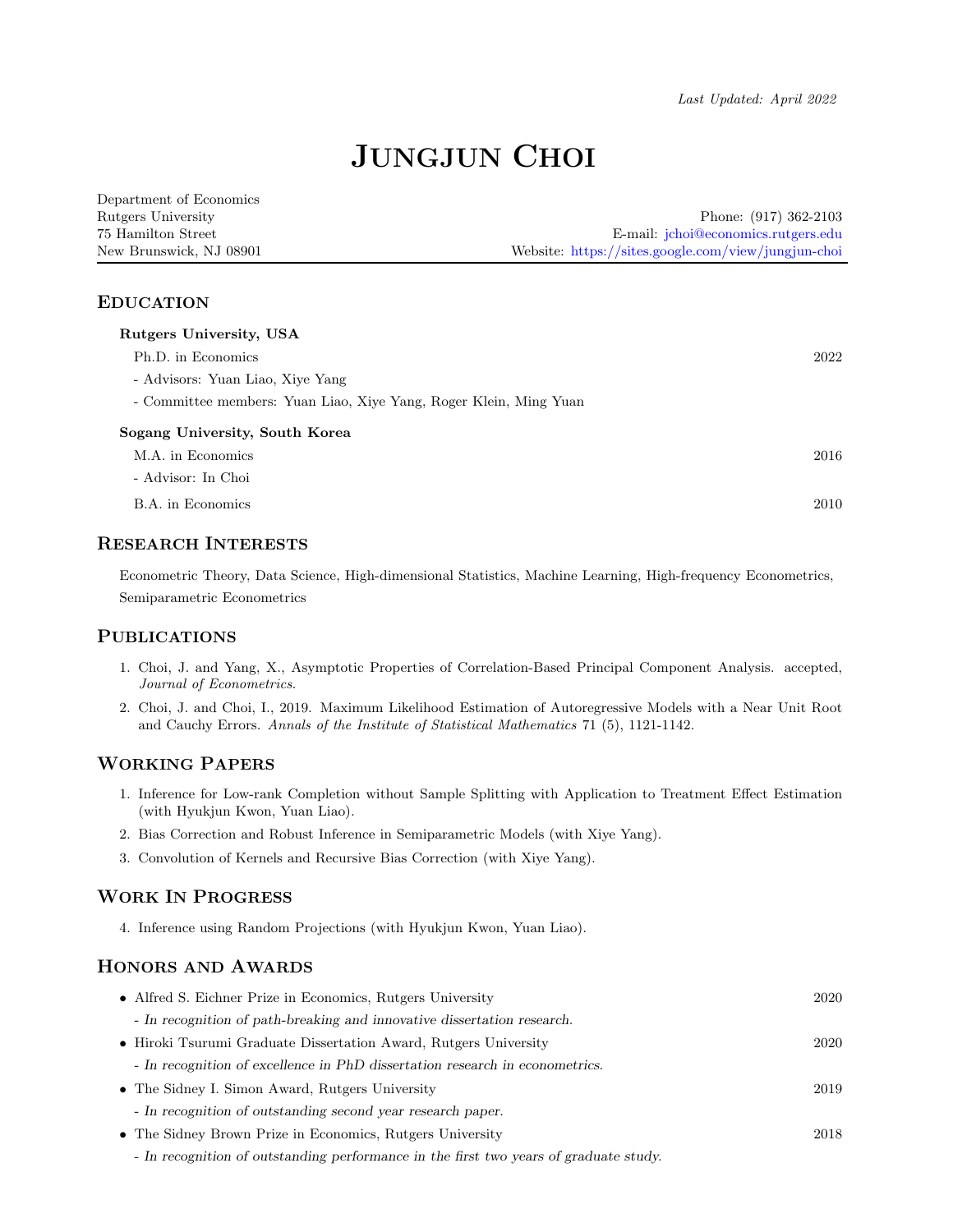# JUNGJUN CHOI

| Department of Economics |                                                     |
|-------------------------|-----------------------------------------------------|
| Rutgers University      | Phone: $(917)$ 362-2103                             |
| 75 Hamilton Street      | E-mail: <i>jchoi@economics.rutgers.edu</i>          |
| New Brunswick, NJ 08901 | Website: https://sites.google.com/view/jungjun-choi |

#### EDUCATION

| Rutgers University, USA                                           |      |
|-------------------------------------------------------------------|------|
| Ph.D. in Economics                                                | 2022 |
| - Advisors: Yuan Liao, Xiye Yang                                  |      |
| - Committee members: Yuan Liao, Xiye Yang, Roger Klein, Ming Yuan |      |
| Sogang University, South Korea                                    |      |
| M.A. in Economics                                                 | 2016 |
| - Advisor: In Choi                                                |      |
| B.A. in Economics                                                 | 2010 |

#### RESEARCH INTERESTS

Econometric Theory, Data Science, High-dimensional Statistics, Machine Learning, High-frequency Econometrics, Semiparametric Econometrics

#### PUBLICATIONS

- 1. Choi, J. and Yang, X., Asymptotic Properties of Correlation-Based Principal Component Analysis. accepted, Journal of Econometrics.
- 2. Choi, J. and Choi, I., 2019. Maximum Likelihood Estimation of Autoregressive Models with a Near Unit Root and Cauchy Errors. Annals of the Institute of Statistical Mathematics 71 (5), 1121-1142.

## WORKING PAPERS

- 1. Inference for Low-rank Completion without Sample Splitting with Application to Treatment Effect Estimation (with Hyukjun Kwon, Yuan Liao).
- 2. Bias Correction and Robust Inference in Semiparametric Models (with Xiye Yang).
- 3. Convolution of Kernels and Recursive Bias Correction (with Xiye Yang).

## WORK IN PROGRESS

4. Inference using Random Projections (with Hyukjun Kwon, Yuan Liao).

# HONORS AND AWARDS

| • Alfred S. Eichner Prize in Economics, Rutgers University                            | 2020 |
|---------------------------------------------------------------------------------------|------|
| - In recognition of path-breaking and innovative dissertation research.               |      |
| • Hiroki Tsurumi Graduate Dissertation Award, Rutgers University                      | 2020 |
| - In recognition of excellence in PhD dissertation research in econometrics.          |      |
| • The Sidney I. Simon Award, Rutgers University                                       | 2019 |
| - In recognition of outstanding second year research paper.                           |      |
| • The Sidney Brown Prize in Economics, Rutgers University                             | 2018 |
| - In recognition of outstanding performance in the first two years of graduate study. |      |